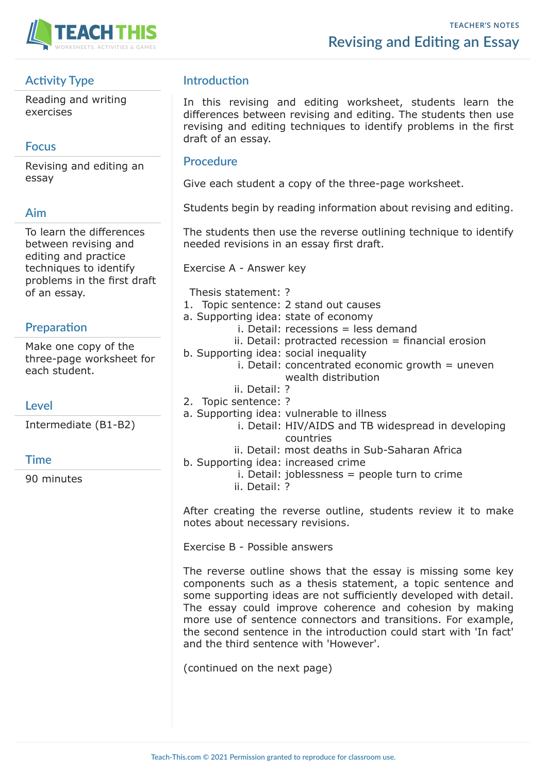

## **Activity Type**

Reading and writing exercises

## **Focus**

Revising and editing an essay

#### **Aim**

To learn the differences between revising and editing and practice techniques to identify problems in the first draft of an essay.

## **Preparation**

Make one copy of the three-page worksheet for each student.

## **Level**

Intermediate (B1-B2)

## **Time**

90 minutes

## **Introduction**

In this revising and editing worksheet, students learn the differences between revising and editing. The students then use revising and editing techniques to identify problems in the first draft of an essay.

#### **Procedure**

Give each student a copy of the three-page worksheet.

Students begin by reading information about revising and editing.

The students then use the reverse outlining technique to identify needed revisions in an essay first draft.

Exercise A - Answer key

- Thesis statement: ? 1. Topic sentence: 2 stand out causes a. Supporting idea: state of economy i. Detail: recessions = less demand  $ii.$  Detail: protracted recession  $=$  financial erosion b. Supporting idea: social inequality  $i.$  Detail: concentrated economic growth  $=$  uneven wealth distribution ii. Detail: ? 2. Topic sentence: ? a. Supporting idea: vulnerable to illness i. Detail: HIV/AIDS and TB widespread in developing countries ii. Detail: most deaths in Sub-Saharan Africa b. Supporting idea: increased crime
	- i. Detail: joblessness  $=$  people turn to crime
	- ii. Detail: ?

After creating the reverse outline, students review it to make notes about necessary revisions.

Exercise B - Possible answers

The reverse outline shows that the essay is missing some key components such as a thesis statement, a topic sentence and some supporting ideas are not sufficiently developed with detail. The essay could improve coherence and cohesion by making more use of sentence connectors and transitions. For example, the second sentence in the introduction could start with 'In fact' and the third sentence with 'However'.

(continued on the next page)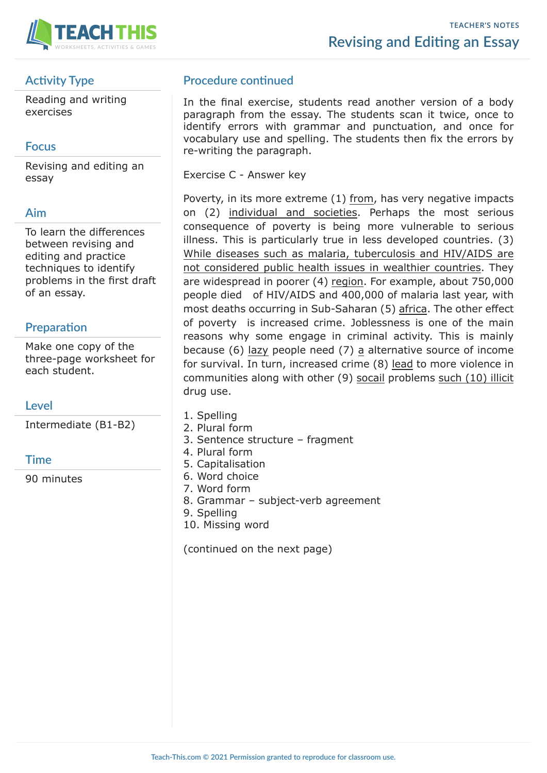

# **Activity Type**

Reading and writing exercises

## **Focus**

Revising and editing an essay

## **Aim**

To learn the differences between revising and editing and practice techniques to identify problems in the first draft of an essay.

## **Preparation**

Make one copy of the three-page worksheet for each student.

## **Level**

Intermediate (B1-B2)

## **Time**

90 minutes

## **Procedure continued**

In the final exercise, students read another version of a body paragraph from the essay. The students scan it twice, once to identify errors with grammar and punctuation, and once for vocabulary use and spelling. The students then fix the errors by re-writing the paragraph.

Exercise C - Answer key

Poverty, in its more extreme (1) from, has very negative impacts on (2) individual and societies. Perhaps the most serious consequence of poverty is being more vulnerable to serious illness. This is particularly true in less developed countries. (3) While diseases such as malaria, tuberculosis and HIV/AIDS are not considered public health issues in wealthier countries. They are widespread in poorer (4) region. For example, about 750,000 people died of HIV/AIDS and 400,000 of malaria last year, with most deaths occurring in Sub-Saharan (5) africa. The other effect of poverty is increased crime. Joblessness is one of the main reasons why some engage in criminal activity. This is mainly because (6) lazy people need (7) a alternative source of income for survival. In turn, increased crime (8) lead to more violence in communities along with other (9) socail problems such (10) illicit drug use.

- 1. Spelling
- 2. Plural form
- 3. Sentence structure fragment
- 4. Plural form
- 5. Capitalisation
- 6. Word choice
- 7. Word form
- 8. Grammar subject-verb agreement
- 9. Spelling
- 10. Missing word

(continued on the next page)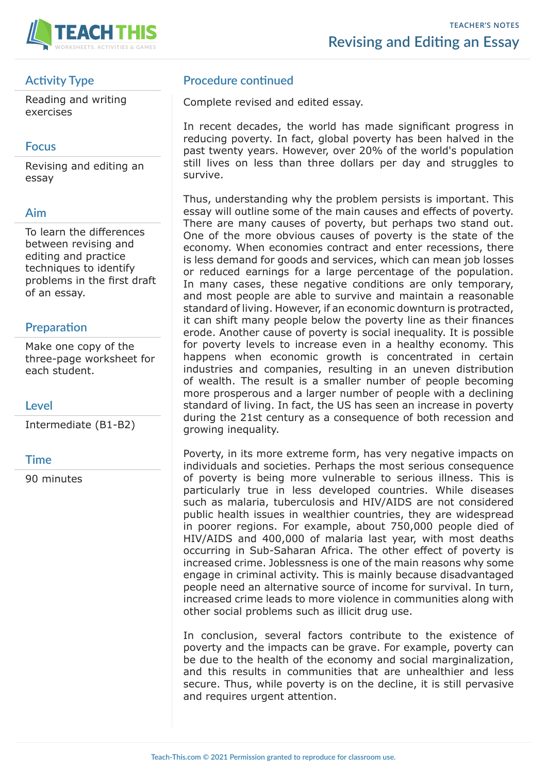

## **Activity Type**

Reading and writing exercises

## **Focus**

Revising and editing an essay

#### **Aim**

To learn the differences between revising and editing and practice techniques to identify problems in the first draft of an essay.

## **Preparation**

Make one copy of the three-page worksheet for each student.

## **Level**

Intermediate (B1-B2)

## **Time**

90 minutes

## **Procedure continued**

Complete revised and edited essay.

In recent decades, the world has made significant progress in reducing poverty. In fact, global poverty has been halved in the past twenty years. However, over 20% of the world's population still lives on less than three dollars per day and struggles to survive.

Thus, understanding why the problem persists is important. This essay will outline some of the main causes and effects of poverty. There are many causes of poverty, but perhaps two stand out. One of the more obvious causes of poverty is the state of the economy. When economies contract and enter recessions, there is less demand for goods and services, which can mean job losses or reduced earnings for a large percentage of the population. In many cases, these negative conditions are only temporary, and most people are able to survive and maintain a reasonable standard of living. However, if an economic downturn is protracted, it can shift many people below the poverty line as their finances erode. Another cause of poverty is social inequality. It is possible for poverty levels to increase even in a healthy economy. This happens when economic growth is concentrated in certain industries and companies, resulting in an uneven distribution of wealth. The result is a smaller number of people becoming more prosperous and a larger number of people with a declining standard of living. In fact, the US has seen an increase in poverty during the 21st century as a consequence of both recession and growing inequality.

Poverty, in its more extreme form, has very negative impacts on individuals and societies. Perhaps the most serious consequence of poverty is being more vulnerable to serious illness. This is particularly true in less developed countries. While diseases such as malaria, tuberculosis and HIV/AIDS are not considered public health issues in wealthier countries, they are widespread in poorer regions. For example, about 750,000 people died of HIV/AIDS and 400,000 of malaria last year, with most deaths occurring in Sub-Saharan Africa. The other effect of poverty is increased crime. Joblessness is one of the main reasons why some engage in criminal activity. This is mainly because disadvantaged people need an alternative source of income for survival. In turn, increased crime leads to more violence in communities along with other social problems such as illicit drug use.

In conclusion, several factors contribute to the existence of poverty and the impacts can be grave. For example, poverty can be due to the health of the economy and social marginalization, and this results in communities that are unhealthier and less secure. Thus, while poverty is on the decline, it is still pervasive and requires urgent attention.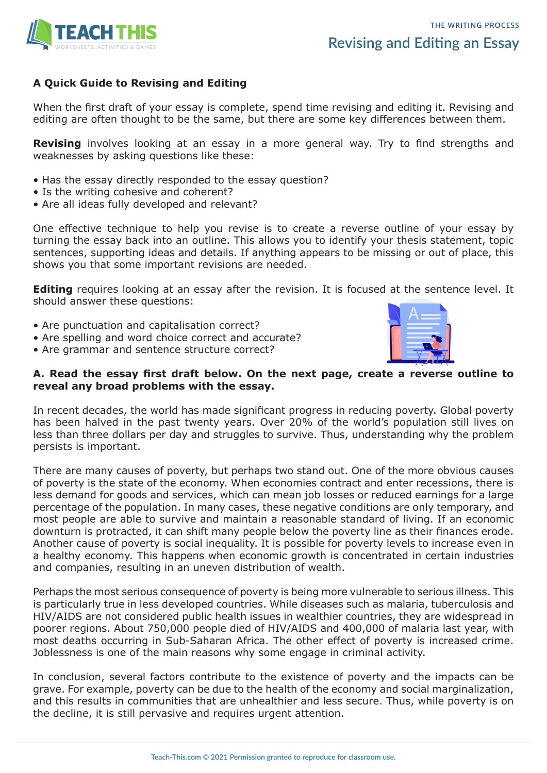

#### **A Quick Guide to Revising and Editing**

When the first draft of your essay is complete, spend time revising and editing it. Revising and editing are often thought to be the same, but there are some key differences between them.

**Revising** involves looking at an essay in a more general way. Try to find strengths and weaknesses by asking questions like these:

- Has the essay directly responded to the essay question?
- Is the writing cohesive and coherent?
- Are all ideas fully developed and relevant?

One effective technique to help you revise is to create a reverse outline of your essay by turning the essay back into an outline. This allows you to identify your thesis statement, topic sentences, supporting ideas and details. If anything appears to be missing or out of place, this shows you that some important revisions are needed.

**Editing** requires looking at an essay after the revision. It is focused at the sentence level. It should answer these questions:

- Are punctuation and capitalisation correct?
- Are spelling and word choice correct and accurate?
- Are grammar and sentence structure correct?



#### **A. Read the essay first draft below. On the next page, create a reverse outline to reveal any broad problems with the essay.**

In recent decades, the world has made significant progress in reducing poverty. Global poverty has been halved in the past twenty years. Over 20% of the world's population still lives on less than three dollars per day and struggles to survive. Thus, understanding why the problem persists is important.

There are many causes of poverty, but perhaps two stand out. One of the more obvious causes of poverty is the state of the economy. When economies contract and enter recessions, there is less demand for goods and services, which can mean job losses or reduced earnings for a large percentage of the population. In many cases, these negative conditions are only temporary, and most people are able to survive and maintain a reasonable standard of living. If an economic downturn is protracted, it can shift many people below the poverty line as their finances erode. Another cause of poverty is social inequality. It is possible for poverty levels to increase even in a healthy economy. This happens when economic growth is concentrated in certain industries and companies, resulting in an uneven distribution of wealth.

Perhaps the most serious consequence of poverty is being more vulnerable to serious illness. This is particularly true in less developed countries. While diseases such as malaria, tuberculosis and HIV/AIDS are not considered public health issues in wealthier countries, they are widespread in poorer regions. About 750,000 people died of HIV/AIDS and 400,000 of malaria last year, with most deaths occurring in Sub-Saharan Africa. The other effect of poverty is increased crime. Joblessness is one of the main reasons why some engage in criminal activity.

In conclusion, several factors contribute to the existence of poverty and the impacts can be grave. For example, poverty can be due to the health of the economy and social marginalization, and this results in communities that are unhealthier and less secure. Thus, while poverty is on the decline, it is still pervasive and requires urgent attention.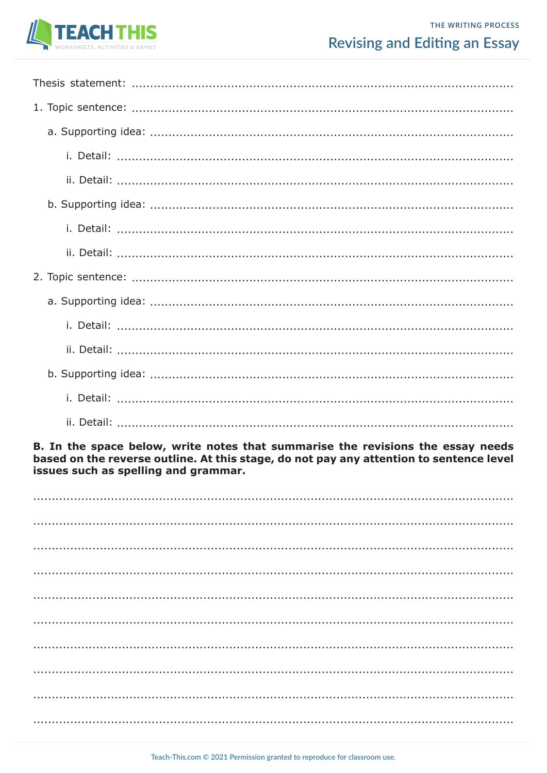

# **Revising and Editing an Essay**

B. In the space below, write notes that summarise the revisions the essay needs based on the reverse outline. At this stage, do not pay any attention to sentence level issues such as spelling and grammar.